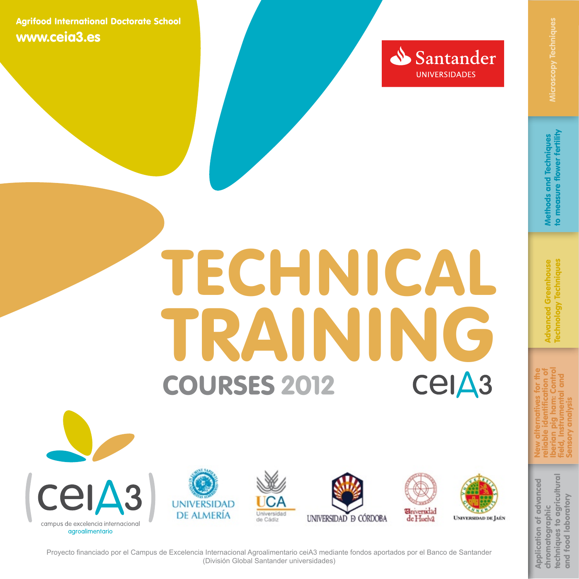

# <span id="page-0-0"></span>COURSES 2012 TECHNICAL TRAINING<br>COURSES 2012 CEIA3











**UNIVERSIDAD DE JAÉN** 

[techniques to agricultural](#page-5-0)  techniques to agricultural Application of advanced **Application of advanced** and food laboratory food laboratory chromatographic chromatographic  $and$ 

New alternatives for the reliable identification of [Iberian pig ham: Control](#page-4-0)  field, Instrumental and Sensory analysis

Proyecto financiado por el Campus de Excelencia Internacional Agroalimentario ceiA3 mediante fondos aportados por el Banco de Santander (División Global Santander universidades)

to measure flower fertility Methods and Techniques Nethods and Techniques

Advanced Greenhouse [Technology Techniques](#page-3-0) **Advanced Greenhouse** echnology Techniques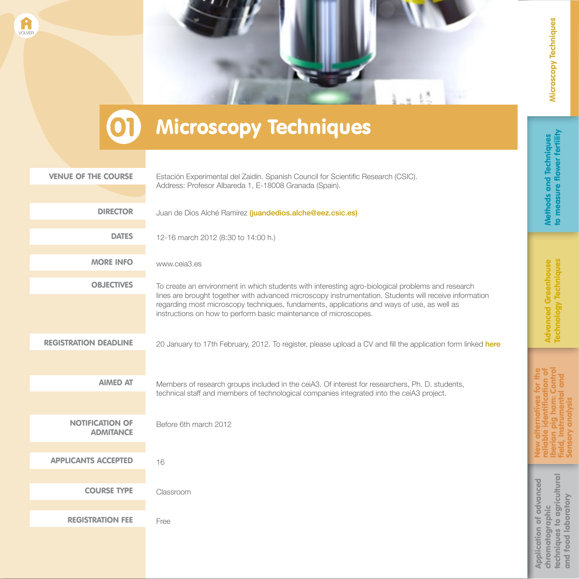chromatographic

chromatographic

reliable identification of [Iberian pig ham: Control](#page-4-0)  field, Instrumental and Sensory analysis

lberian pig ham: C<br>field, Instrumental Sensory analysis

> [techniques to agricultural](#page-5-0)  and food laboratory

techniques to agricultural<br>and food laboratory



#### **01** Microscopy Techniques

<span id="page-1-0"></span>[VOLVER](#page-0-0)

| <b>VENUE OF THE COURSE</b>                 | Estación Experimental del Zaidín. Spanish Council for Scientific Research (CSIC).<br>Address: Profesor Albareda 1, E-18008 Granada (Spain).                                                                                                                                                                                                                                   |                                |
|--------------------------------------------|-------------------------------------------------------------------------------------------------------------------------------------------------------------------------------------------------------------------------------------------------------------------------------------------------------------------------------------------------------------------------------|--------------------------------|
|                                            |                                                                                                                                                                                                                                                                                                                                                                               |                                |
|                                            |                                                                                                                                                                                                                                                                                                                                                                               |                                |
| <b>DIRECTOR</b>                            | Juan de Dios Alché Ramírez (juandedios.alche@eez.csic.es)                                                                                                                                                                                                                                                                                                                     |                                |
| <b>DATES</b>                               | 12-16 march 2012 (8:30 to 14:00 h.)                                                                                                                                                                                                                                                                                                                                           |                                |
| <b>MORE INFO</b>                           | www.ceia3.es                                                                                                                                                                                                                                                                                                                                                                  |                                |
| <b>OBJECTIVES</b>                          | To create an environment in which students with interesting agro-biological problems and research<br>lines are brought together with advanced microscopy instrumentation. Students will receive information<br>regarding most microscopy techniques, fundaments, applications and ways of use, as well as<br>instructions on how to perform basic maintenance of microscopes. |                                |
|                                            |                                                                                                                                                                                                                                                                                                                                                                               |                                |
| <b>REGISTRATION DEADLINE</b>               | 20 January to 17th February, 2012. To register, please upload a CV and fill the application form linked here                                                                                                                                                                                                                                                                  |                                |
| <b>AIMED AT</b>                            | Members of research groups included in the ceiA3. Of interest for researchers, Ph. D. students,<br>technical staff and members of technological companies integrated into the ceiA3 project.                                                                                                                                                                                  |                                |
| <b>NOTIFICATION OF</b><br><b>ADMITANCE</b> | Before 6th march 2012                                                                                                                                                                                                                                                                                                                                                         | 등                              |
| <b>APPLICANTS ACCEPTED</b>                 | 16                                                                                                                                                                                                                                                                                                                                                                            |                                |
|                                            |                                                                                                                                                                                                                                                                                                                                                                               |                                |
| <b>COURSE TYPE</b>                         | Classroom                                                                                                                                                                                                                                                                                                                                                                     |                                |
| <b>REGISTRATION FEE</b>                    | Free                                                                                                                                                                                                                                                                                                                                                                          | <b>Application of advanced</b> |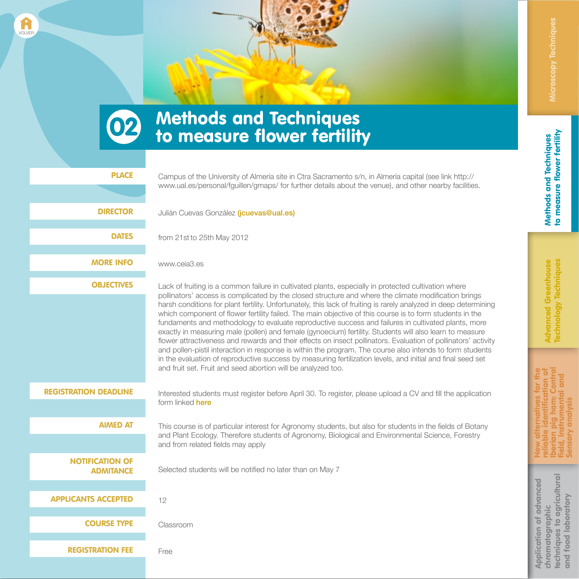[Iberian pig ham: Control](#page-4-0)  New alternatives for the reliable identification of field, Instrumental and Sensory analysis ana

[techniques to agricultural](#page-5-0)  techniques to agricultural<br>and food laboratory Application of advanced **Application of advanced** and food laboratory chromatographic chromatographic

## **02** Methods and Techniques<br>to measure flower fertility

<span id="page-2-0"></span>[VOLVER](#page-0-0)

| <b>PLACE</b>                               | Campus of the University of Almería site in Ctra Sacramento s/n, in Almería capital (see link http://<br>www.ual.es/personal/fguillen/gmaps/ for further details about the venue), and other nearby facilities.                                                                                                                                                                                                                                                                                                                                                                                                                                                                                                                                                                                                                                                                                                                                                                                                                                                                |
|--------------------------------------------|--------------------------------------------------------------------------------------------------------------------------------------------------------------------------------------------------------------------------------------------------------------------------------------------------------------------------------------------------------------------------------------------------------------------------------------------------------------------------------------------------------------------------------------------------------------------------------------------------------------------------------------------------------------------------------------------------------------------------------------------------------------------------------------------------------------------------------------------------------------------------------------------------------------------------------------------------------------------------------------------------------------------------------------------------------------------------------|
| <b>DIRECTOR</b>                            | Julián Cuevas González (jcuevas@ual.es)                                                                                                                                                                                                                                                                                                                                                                                                                                                                                                                                                                                                                                                                                                                                                                                                                                                                                                                                                                                                                                        |
| <b>DATES</b>                               | from 21st to 25th May 2012                                                                                                                                                                                                                                                                                                                                                                                                                                                                                                                                                                                                                                                                                                                                                                                                                                                                                                                                                                                                                                                     |
| <b>MORE INFO</b>                           | www.ceia3.es                                                                                                                                                                                                                                                                                                                                                                                                                                                                                                                                                                                                                                                                                                                                                                                                                                                                                                                                                                                                                                                                   |
| <b>OBJECTIVES</b>                          | Lack of fruiting is a common failure in cultivated plants, especially in protected cultivation where<br>pollinators' access is complicated by the closed structure and where the climate modification brings<br>harsh conditions for plant fertility. Unfortunately, this lack of fruiting is rarely analyzed in deep determining<br>which component of flower fertility failed. The main objective of this course is to form students in the<br>fundaments and methodology to evaluate reproductive success and failures in cultivated plants, more<br>exactly in measuring male (pollen) and female (gynoecium) fertility. Students will also learn to measure<br>flower attractiveness and rewards and their effects on insect pollinators. Evaluation of pollinators' activity<br>and pollen-pistil interaction in response is within the program. The course also intends to form students<br>in the evaluation of reproductive success by measuring fertilization levels, and initial and final seed set<br>and fruit set. Fruit and seed abortion will be analyzed too. |
| <b>REGISTRATION DEADLINE</b>               | Interested students must register before April 30. To register, please upload a CV and fill the application<br>form linked here                                                                                                                                                                                                                                                                                                                                                                                                                                                                                                                                                                                                                                                                                                                                                                                                                                                                                                                                                |
| <b>AIMED AT</b>                            | This course is of particular interest for Agronomy students, but also for students in the fields of Botany<br>and Plant Ecology. Therefore students of Agronomy, Biological and Environmental Science, Forestry<br>and from related fields may apply                                                                                                                                                                                                                                                                                                                                                                                                                                                                                                                                                                                                                                                                                                                                                                                                                           |
| <b>NOTIFICATION OF</b><br><b>ADMITANCE</b> | Selected students will be notified no later than on May 7                                                                                                                                                                                                                                                                                                                                                                                                                                                                                                                                                                                                                                                                                                                                                                                                                                                                                                                                                                                                                      |
| <b>APPLICANTS ACCEPTED</b>                 | 12                                                                                                                                                                                                                                                                                                                                                                                                                                                                                                                                                                                                                                                                                                                                                                                                                                                                                                                                                                                                                                                                             |
| <b>COURSE TYPE</b>                         | Classroom                                                                                                                                                                                                                                                                                                                                                                                                                                                                                                                                                                                                                                                                                                                                                                                                                                                                                                                                                                                                                                                                      |
| <b>REGISTRATION FEE</b>                    | Free                                                                                                                                                                                                                                                                                                                                                                                                                                                                                                                                                                                                                                                                                                                                                                                                                                                                                                                                                                                                                                                                           |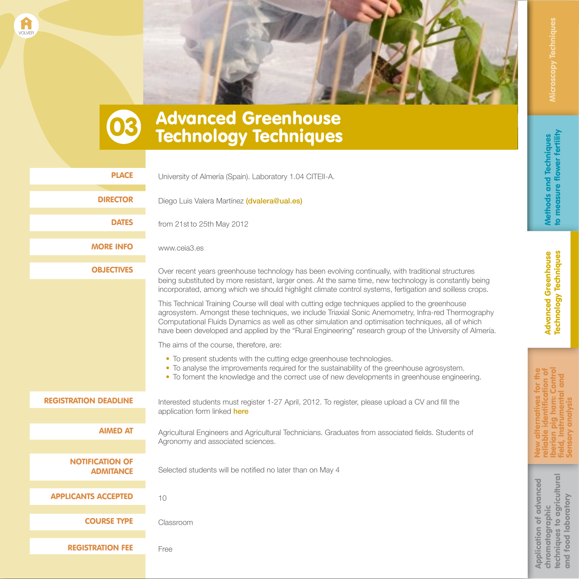

## **03 Advanced Greenhouse<br>Technology Techniques**

<span id="page-3-0"></span>[VOLVER](#page-0-0)

| <b>PLACE</b>                               | University of Almería (Spain). Laboratory 1.04 CITEII-A.                                                                                                                                                                                                                                                                                                                                                                |
|--------------------------------------------|-------------------------------------------------------------------------------------------------------------------------------------------------------------------------------------------------------------------------------------------------------------------------------------------------------------------------------------------------------------------------------------------------------------------------|
| <b>DIRECTOR</b>                            | Diego Luis Valera Martínez (dvalera@ual.es)                                                                                                                                                                                                                                                                                                                                                                             |
| <b>DATES</b>                               | from 21st to 25th May 2012                                                                                                                                                                                                                                                                                                                                                                                              |
| <b>MORE INFO</b>                           | www.ceia3.es                                                                                                                                                                                                                                                                                                                                                                                                            |
| <b>OBJECTIVES</b>                          | Over recent years greenhouse technology has been evolving continually, with traditional structures<br>being substituted by more resistant, larger ones. At the same time, new technology is constantly being<br>incorporated, among which we should highlight climate control systems, fertigation and soilless crops.                                                                                                  |
|                                            | This Technical Training Course will deal with cutting edge techniques applied to the greenhouse<br>agrosystem. Amongst these techniques, we include Triaxial Sonic Anemometry, Infra-red Thermography<br>Computational Fluids Dynamics as well as other simulation and optimisation techniques, all of which<br>have been developed and applied by the "Rural Engineering" research group of the University of Almería. |
|                                            | The aims of the course, therefore, are:                                                                                                                                                                                                                                                                                                                                                                                 |
|                                            | • To present students with the cutting edge greenhouse technologies.<br>• To analyse the improvements required for the sustainability of the greenhouse agrosystem.<br>• To foment the knowledge and the correct use of new developments in greenhouse engineering.                                                                                                                                                     |
| <b>REGISTRATION DEADLINE</b>               | Interested students must register 1-27 April, 2012. To register, please upload a CV and fill the                                                                                                                                                                                                                                                                                                                        |
|                                            | application form linked here                                                                                                                                                                                                                                                                                                                                                                                            |
| <b>AIMED AT</b>                            | Agricultural Engineers and Agricultural Technicians. Graduates from associated fields. Students of                                                                                                                                                                                                                                                                                                                      |
|                                            | Agronomy and associated sciences.                                                                                                                                                                                                                                                                                                                                                                                       |
| <b>NOTIFICATION OF</b><br><b>ADMITANCE</b> | Selected students will be notified no later than on May 4                                                                                                                                                                                                                                                                                                                                                               |
| <b>APPLICANTS ACCEPTED</b>                 | 10                                                                                                                                                                                                                                                                                                                                                                                                                      |
| <b>COURSE TYPE</b>                         | Classroom                                                                                                                                                                                                                                                                                                                                                                                                               |
| <b>REGISTRATION FEE</b>                    | Free                                                                                                                                                                                                                                                                                                                                                                                                                    |
|                                            |                                                                                                                                                                                                                                                                                                                                                                                                                         |

Application of advanced chromatographic

**Application of advanced** chromatographic

New alternatives for the reliable identification of [Iberian pig ham: Control](#page-4-0)  field, Instrumental and Sensory analysis

> [techniques to agricultural](#page-5-0)  and food laboratory

techniques to agricultural<br>and food laboratory

Sensory analysis ield, Instrumer erian p liabl **ME**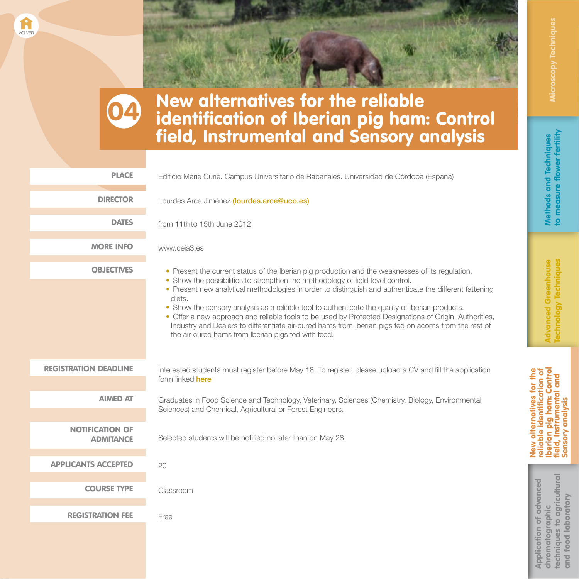New alternatives for the<br>reliable identification of<br>Iberian pig ham: Control<br>field, Instrumental and Iberian pig ham: Control New alternatives for the reliable identification of field, Instrumental and Sensory analysis Sensory analysis

[techniques to agricultural](#page-5-0)  techniques to agricultural Application of advanced **Application of advanced** and food laboratory and food laboratory chromatographic chromatographic

#### New alternatives for the reliable identification of Iberian pig ham: Control field, Instrumental and Sensory analysis

04

<span id="page-4-0"></span>[VOLVER](#page-0-0)

| <b>PLACE</b>                               | Edificio Marie Curie. Campus Universitario de Rabanales. Universidad de Córdoba (España)                                                                                                                                                                                                                                                                                                                                                                                                                                                                                                                                                                                             |
|--------------------------------------------|--------------------------------------------------------------------------------------------------------------------------------------------------------------------------------------------------------------------------------------------------------------------------------------------------------------------------------------------------------------------------------------------------------------------------------------------------------------------------------------------------------------------------------------------------------------------------------------------------------------------------------------------------------------------------------------|
| <b>DIRECTOR</b>                            | Lourdes Arce Jiménez (lourdes.arce@uco.es)                                                                                                                                                                                                                                                                                                                                                                                                                                                                                                                                                                                                                                           |
| <b>DATES</b>                               | from 11th to 15th June 2012                                                                                                                                                                                                                                                                                                                                                                                                                                                                                                                                                                                                                                                          |
| <b>MORE INFO</b>                           | www.ceia3.es                                                                                                                                                                                                                                                                                                                                                                                                                                                                                                                                                                                                                                                                         |
| <b>OBJECTIVES</b>                          | • Present the current status of the Iberian pig production and the weaknesses of its regulation.<br>• Show the possibilities to strengthen the methodology of field-level control.<br>• Present new analytical methodologies in order to distinguish and authenticate the different fattening<br>diets.<br>• Show the sensory analysis as a reliable tool to authenticate the quality of Iberian products.<br>• Offer a new approach and reliable tools to be used by Protected Designations of Origin, Authorities,<br>Industry and Dealers to differentiate air-cured hams from Iberian pigs fed on acorns from the rest of<br>the air-cured hams from Iberian pigs fed with feed. |
| <b>REGISTRATION DEADLINE</b>               | Interested students must register before May 18. To register, please upload a CV and fill the application<br>form linked <b>here</b>                                                                                                                                                                                                                                                                                                                                                                                                                                                                                                                                                 |
| <b>AIMED AT</b>                            | Graduates in Food Science and Technology, Veterinary, Sciences (Chemistry, Biology, Environmental<br>Sciences) and Chemical, Agricultural or Forest Engineers.                                                                                                                                                                                                                                                                                                                                                                                                                                                                                                                       |
| <b>NOTIFICATION OF</b><br><b>ADMITANCE</b> | Selected students will be notified no later than on May 28                                                                                                                                                                                                                                                                                                                                                                                                                                                                                                                                                                                                                           |
| <b>APPLICANTS ACCEPTED</b>                 | 20                                                                                                                                                                                                                                                                                                                                                                                                                                                                                                                                                                                                                                                                                   |
| <b>COURSE TYPE</b>                         | Classroom                                                                                                                                                                                                                                                                                                                                                                                                                                                                                                                                                                                                                                                                            |
| <b>REGISTRATION FEE</b>                    | Free                                                                                                                                                                                                                                                                                                                                                                                                                                                                                                                                                                                                                                                                                 |